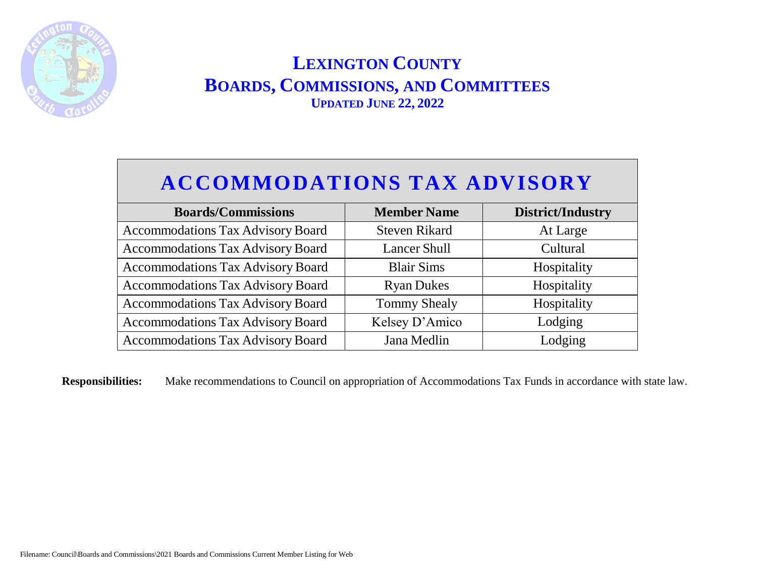

# **ACCOMMODATIONS TAX ADVISORY**

| <b>Boards/Commissions</b>                | <b>Member Name</b>   | <b>District/Industry</b> |
|------------------------------------------|----------------------|--------------------------|
| <b>Accommodations Tax Advisory Board</b> | <b>Steven Rikard</b> | At Large                 |
| <b>Accommodations Tax Advisory Board</b> | <b>Lancer Shull</b>  | Cultural                 |
| <b>Accommodations Tax Advisory Board</b> | <b>Blair Sims</b>    | Hospitality              |
| <b>Accommodations Tax Advisory Board</b> | <b>Ryan Dukes</b>    | Hospitality              |
| <b>Accommodations Tax Advisory Board</b> | <b>Tommy Shealy</b>  | Hospitality              |
| <b>Accommodations Tax Advisory Board</b> | Kelsey D'Amico       | Lodging                  |
| <b>Accommodations Tax Advisory Board</b> | Jana Medlin          | Lodging                  |

**Responsibilities:** Make recommendations to Council on appropriation of Accommodations Tax Funds in accordance with state law.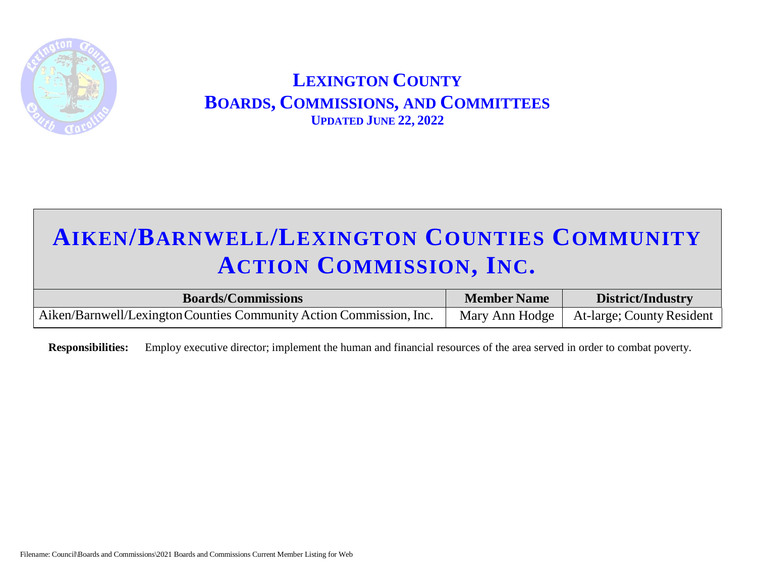

# **AIKEN/BARNWELL/LEXINGTON COUNTIES COMMUNITY ACTION COMMISSION, INC.**

| <b>Boards/Commissions</b>                                           | <b>Member Name</b> | <b>District/Industry</b>                   |
|---------------------------------------------------------------------|--------------------|--------------------------------------------|
| Aiken/Barnwell/Lexington Counties Community Action Commission, Inc. |                    | Mary Ann Hodge   At-large; County Resident |

 **Responsibilities:** Employ executive director; implement the human and financial resources of the area served in order to combat poverty.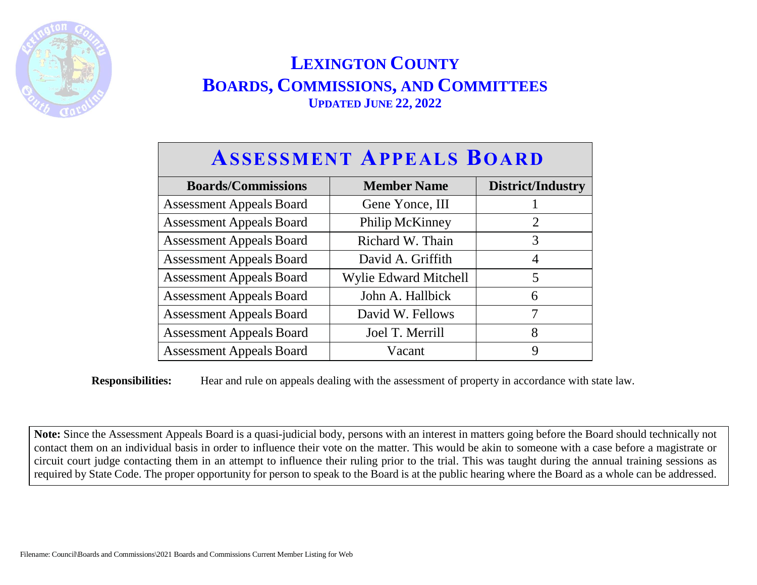

#### **ASSESSMENT APPEALS BOARD Boards/Commissions Member Name District/Industry** Assessment Appeals Board Gene Yonce, III 1 Assessment Appeals Board Philip McKinney 2 Assessment Appeals Board Richard W. Thain 3 Assessment Appeals Board David A. Griffith 1 Assessment Appeals Board | Wylie Edward Mitchell | 5

**Responsibilities:** Hear and rule on appeals dealing with the assessment of property in accordance with state law.

Assessment Appeals Board John A. Hallbick 6 Assessment Appeals Board David W. Fellows 7 Assessment Appeals Board Joel T. Merrill 8 Assessment Appeals Board Vacant 9

**Note:** Since the Assessment Appeals Board is a quasi-judicial body, persons with an interest in matters going before the Board should technically not contact them on an individual basis in order to influence their vote on the matter. This would be akin to someone with a case before a magistrate or circuit court judge contacting them in an attempt to influence their ruling prior to the trial. This was taught during the annual training sessions as required by State Code. The proper opportunity for person to speak to the Board is at the public hearing where the Board as a whole can be addressed.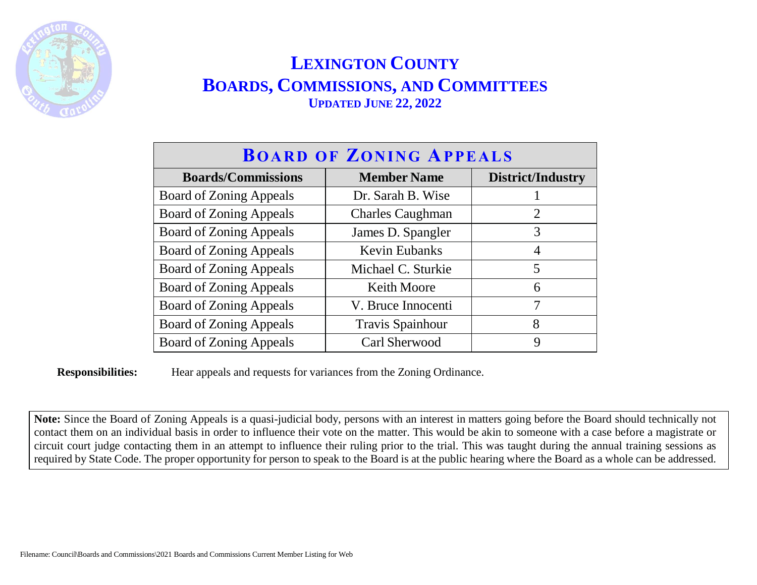

| <b>BOARD OF ZONING APPEALS</b> |                         |                   |
|--------------------------------|-------------------------|-------------------|
| <b>Boards/Commissions</b>      | <b>Member Name</b>      | District/Industry |
| <b>Board of Zoning Appeals</b> | Dr. Sarah B. Wise       |                   |
| <b>Board of Zoning Appeals</b> | <b>Charles Caughman</b> | $\overline{2}$    |
| <b>Board of Zoning Appeals</b> | James D. Spangler       | 3                 |
| <b>Board of Zoning Appeals</b> | <b>Kevin Eubanks</b>    | 4                 |
| <b>Board of Zoning Appeals</b> | Michael C. Sturkie      | 5                 |
| <b>Board of Zoning Appeals</b> | <b>Keith Moore</b>      | 6                 |
| <b>Board of Zoning Appeals</b> | V. Bruce Innocenti      | 7                 |
| <b>Board of Zoning Appeals</b> | <b>Travis Spainhour</b> | 8                 |
| <b>Board of Zoning Appeals</b> | Carl Sherwood           | 9                 |

**Responsibilities:** Hear appeals and requests for variances from the Zoning Ordinance.

**Note:** Since the Board of Zoning Appeals is a quasi-judicial body, persons with an interest in matters going before the Board should technically not contact them on an individual basis in order to influence their vote on the matter. This would be akin to someone with a case before a magistrate or circuit court judge contacting them in an attempt to influence their ruling prior to the trial. This was taught during the annual training sessions as required by State Code. The proper opportunity for person to speak to the Board is at the public hearing where the Board as a whole can be addressed.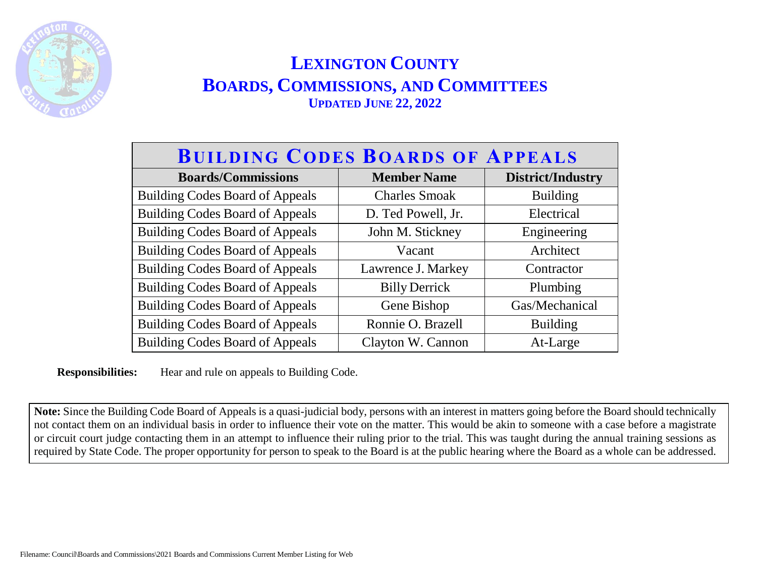

| <b>BUILDING CODES BOARDS OF APPEALS</b> |                      |                   |  |
|-----------------------------------------|----------------------|-------------------|--|
| <b>Boards/Commissions</b>               | <b>Member Name</b>   | District/Industry |  |
| <b>Building Codes Board of Appeals</b>  | <b>Charles Smoak</b> | <b>Building</b>   |  |
| <b>Building Codes Board of Appeals</b>  | D. Ted Powell, Jr.   | Electrical        |  |
| <b>Building Codes Board of Appeals</b>  | John M. Stickney     | Engineering       |  |
| <b>Building Codes Board of Appeals</b>  | Vacant               | Architect         |  |
| <b>Building Codes Board of Appeals</b>  | Lawrence J. Markey   | Contractor        |  |
| <b>Building Codes Board of Appeals</b>  | <b>Billy Derrick</b> | Plumbing          |  |
| <b>Building Codes Board of Appeals</b>  | Gene Bishop          | Gas/Mechanical    |  |
| <b>Building Codes Board of Appeals</b>  | Ronnie O. Brazell    | <b>Building</b>   |  |
| <b>Building Codes Board of Appeals</b>  | Clayton W. Cannon    | At-Large          |  |

**Responsibilities:** Hear and rule on appeals to Building Code.

**Note:** Since the Building Code Board of Appeals is a quasi-judicial body, persons with an interest in matters going before the Board should technically not contact them on an individual basis in order to influence their vote on the matter. This would be akin to someone with a case before a magistrate or circuit court judge contacting them in an attempt to influence their ruling prior to the trial. This was taught during the annual training sessions as required by State Code. The proper opportunity for person to speak to the Board is at the public hearing where the Board as a whole can be addressed.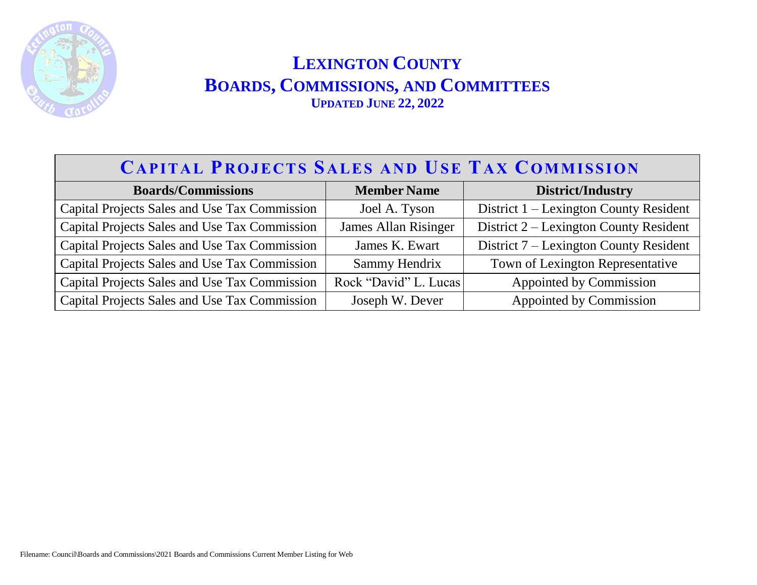

| <b>CAPITAL PROJECTS SALES AND USE TAX COMMISSION</b> |                       |                                        |  |
|------------------------------------------------------|-----------------------|----------------------------------------|--|
| <b>Boards/Commissions</b>                            | <b>Member Name</b>    | <b>District/Industry</b>               |  |
| Capital Projects Sales and Use Tax Commission        | Joel A. Tyson         | District 1 – Lexington County Resident |  |
| Capital Projects Sales and Use Tax Commission        | James Allan Risinger  | District 2 – Lexington County Resident |  |
| Capital Projects Sales and Use Tax Commission        | James K. Ewart        | District 7 – Lexington County Resident |  |
| Capital Projects Sales and Use Tax Commission        | Sammy Hendrix         | Town of Lexington Representative       |  |
| Capital Projects Sales and Use Tax Commission        | Rock "David" L. Lucas | Appointed by Commission                |  |
| Capital Projects Sales and Use Tax Commission        | Joseph W. Dever       | Appointed by Commission                |  |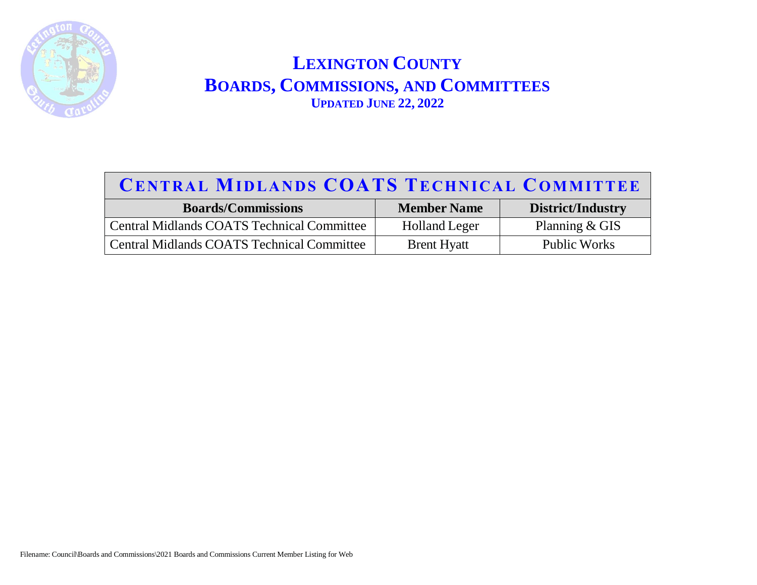

## **CE NT R A L MI D L A N D S COATS TE CHN I C A L COM M IT TE E**

| <b>Boards/Commissions</b>                         | <b>Member Name</b>   | District/Industry   |
|---------------------------------------------------|----------------------|---------------------|
| <b>Central Midlands COATS Technical Committee</b> | <b>Holland Leger</b> | Planning $& GIS$    |
| <b>Central Midlands COATS Technical Committee</b> | <b>Brent Hyatt</b>   | <b>Public Works</b> |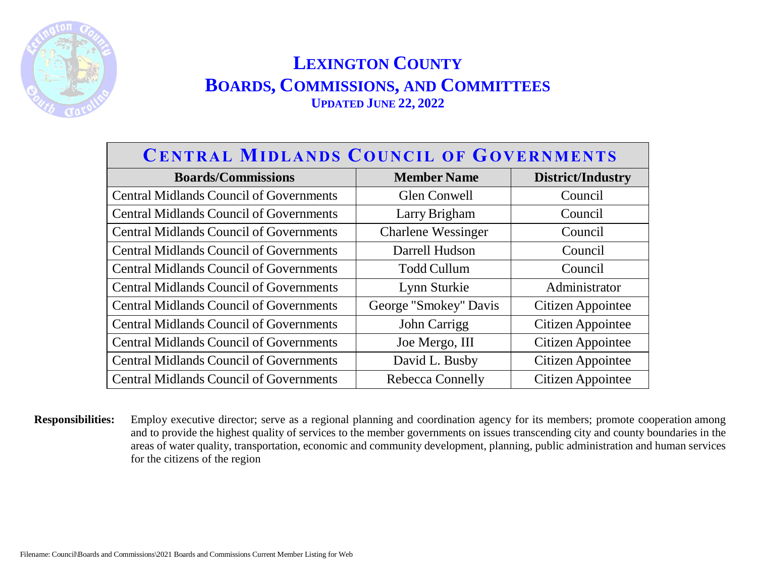

| <b>CENTRAL MIDLANDS COUNCIL OF GOVERNMENTS</b> |                           |                   |
|------------------------------------------------|---------------------------|-------------------|
| <b>Boards/Commissions</b>                      | <b>Member Name</b>        | District/Industry |
| <b>Central Midlands Council of Governments</b> | Glen Conwell              | Council           |
| <b>Central Midlands Council of Governments</b> | Larry Brigham             | Council           |
| <b>Central Midlands Council of Governments</b> | <b>Charlene Wessinger</b> | Council           |
| <b>Central Midlands Council of Governments</b> | Darrell Hudson            | Council           |
| <b>Central Midlands Council of Governments</b> | <b>Todd Cullum</b>        | Council           |
| <b>Central Midlands Council of Governments</b> | Lynn Sturkie              | Administrator     |
| <b>Central Midlands Council of Governments</b> | George "Smokey" Davis     | Citizen Appointee |
| <b>Central Midlands Council of Governments</b> | John Carrigg              | Citizen Appointee |
| <b>Central Midlands Council of Governments</b> | Joe Mergo, III            | Citizen Appointee |
| <b>Central Midlands Council of Governments</b> | David L. Busby            | Citizen Appointee |
| <b>Central Midlands Council of Governments</b> | <b>Rebecca Connelly</b>   | Citizen Appointee |

**Responsibilities:** Employ executive director; serve as a regional planning and coordination agency for its members; promote cooperation among and to provide the highest quality of services to the member governments on issues transcending city and county boundaries in the areas of water quality, transportation, economic and community development, planning, public administration and human services for the citizens of the region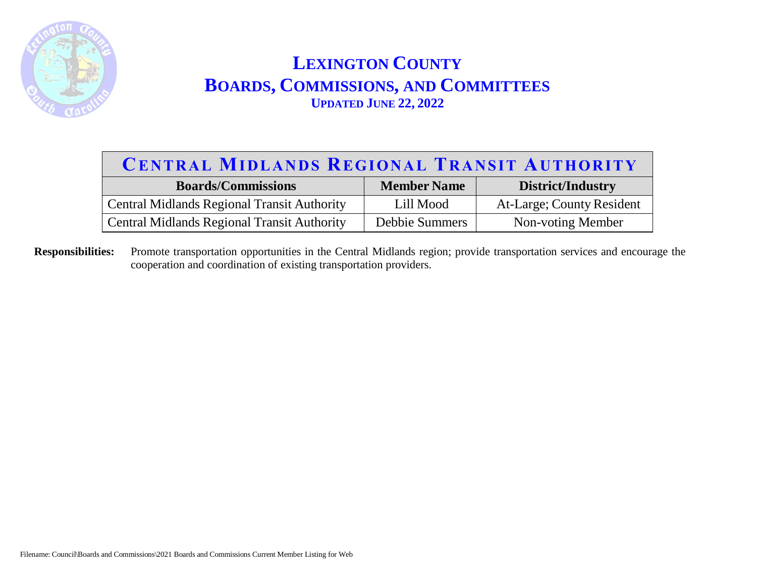

#### **CE NT R A L MI D L A N D S REGI ON A L TR A N S I T AUT HOR I T Y**

| <b>Boards/Commissions</b>                          | <b>Member Name</b>    | District/Industry         |
|----------------------------------------------------|-----------------------|---------------------------|
| <b>Central Midlands Regional Transit Authority</b> | Lill Mood             | At-Large; County Resident |
| <b>Central Midlands Regional Transit Authority</b> | <b>Debbie Summers</b> | Non-voting Member         |

**Responsibilities:** Promote transportation opportunities in the Central Midlands region; provide transportation services and encourage the cooperation and coordination of existing transportation providers.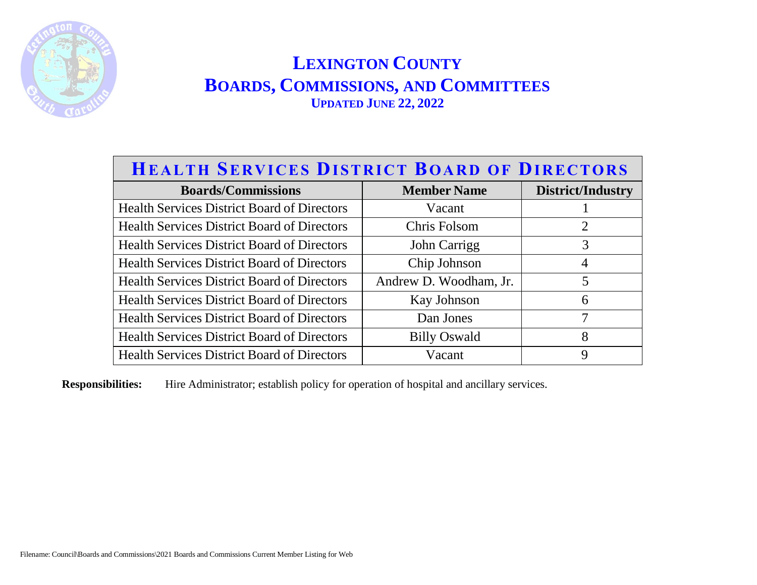

| <b>HEALTH SERVICES DISTRICT BOARD OF DIRECTORS</b> |                        |                   |
|----------------------------------------------------|------------------------|-------------------|
| <b>Boards/Commissions</b>                          | <b>Member Name</b>     | District/Industry |
| <b>Health Services District Board of Directors</b> | Vacant                 |                   |
| <b>Health Services District Board of Directors</b> | Chris Folsom           | $\overline{2}$    |
| <b>Health Services District Board of Directors</b> | John Carrigg           | 3                 |
| <b>Health Services District Board of Directors</b> | Chip Johnson           | $\overline{4}$    |
| <b>Health Services District Board of Directors</b> | Andrew D. Woodham, Jr. | 5                 |
| <b>Health Services District Board of Directors</b> | Kay Johnson            | 6                 |
| <b>Health Services District Board of Directors</b> | Dan Jones              | 7                 |
| <b>Health Services District Board of Directors</b> | <b>Billy Oswald</b>    | 8                 |
| <b>Health Services District Board of Directors</b> | Vacant                 | 9                 |

**Responsibilities:** Hire Administrator; establish policy for operation of hospital and ancillary services.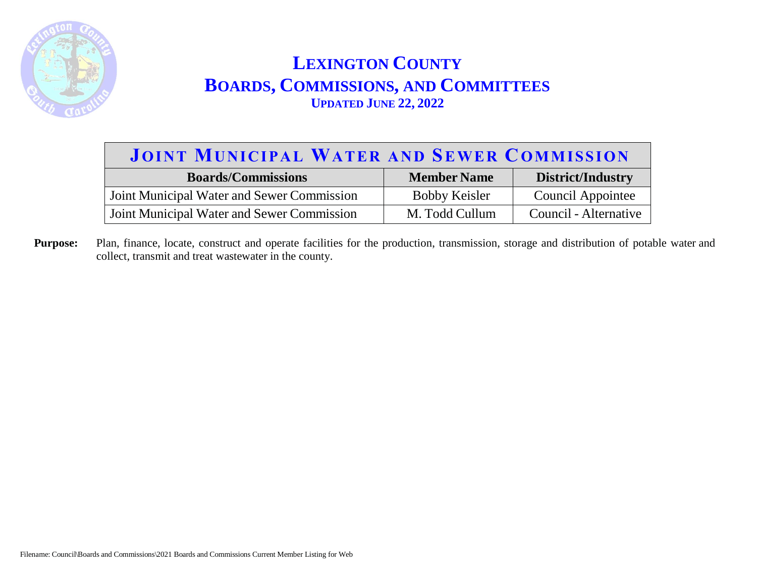

# **JOINT MUNICIPAL WATER AND SEWER COMMISSION**

| <b>Boards/Commissions</b>                  | <b>Member Name</b>   | District/Industry     |
|--------------------------------------------|----------------------|-----------------------|
| Joint Municipal Water and Sewer Commission | <b>Bobby Keisler</b> | Council Appointee     |
| Joint Municipal Water and Sewer Commission | M. Todd Cullum       | Council - Alternative |

**Purpose:** Plan, finance, locate, construct and operate facilities for the production, transmission, storage and distribution of potable water and collect, transmit and treat wastewater in the county.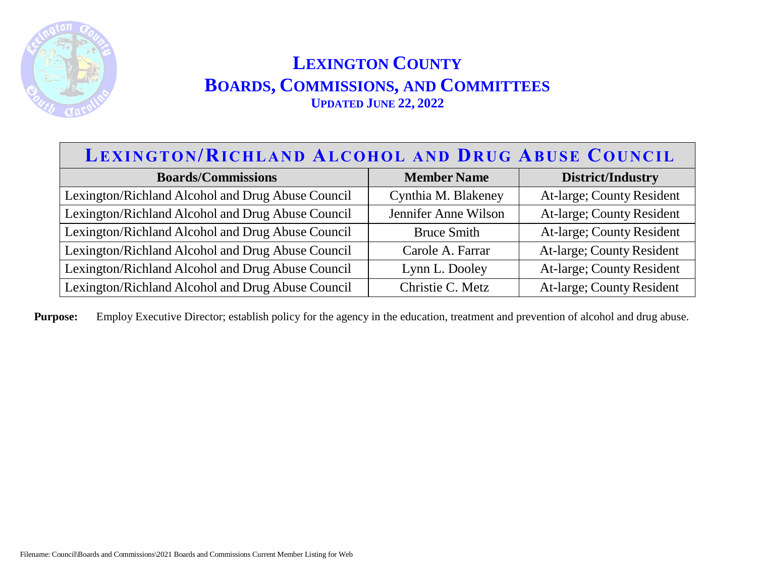

#### **LEXINGTON/RICHLAND ALCOHOL AND DRUG ABUSE COUNCIL**

| <b>Boards/Commissions</b>                         | <b>Member Name</b>   | <b>District/Industry</b>  |
|---------------------------------------------------|----------------------|---------------------------|
| Lexington/Richland Alcohol and Drug Abuse Council | Cynthia M. Blakeney  | At-large; County Resident |
| Lexington/Richland Alcohol and Drug Abuse Council | Jennifer Anne Wilson | At-large; County Resident |
| Lexington/Richland Alcohol and Drug Abuse Council | <b>Bruce Smith</b>   | At-large; County Resident |
| Lexington/Richland Alcohol and Drug Abuse Council | Carole A. Farrar     | At-large; County Resident |
| Lexington/Richland Alcohol and Drug Abuse Council | Lynn L. Dooley       | At-large; County Resident |
| Lexington/Richland Alcohol and Drug Abuse Council | Christie C. Metz     | At-large; County Resident |

Purpose: Employ Executive Director; establish policy for the agency in the education, treatment and prevention of alcohol and drug abuse.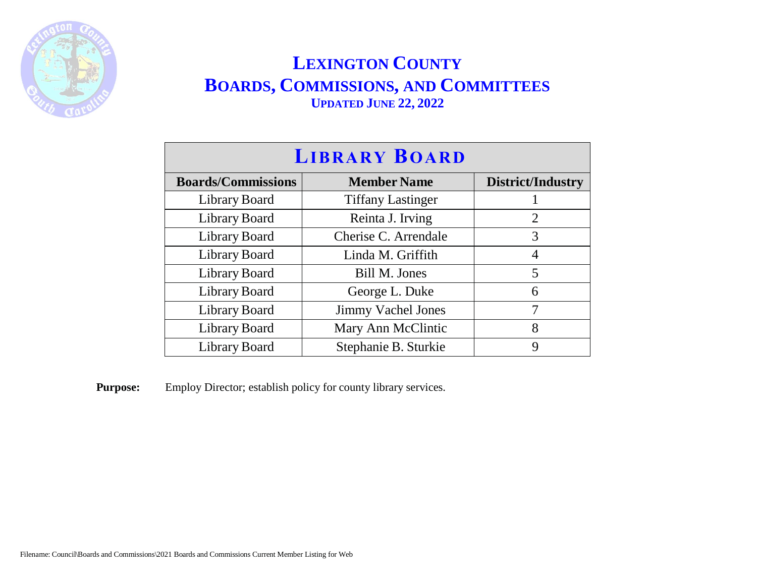

| <b>LIBRARY BOARD</b>      |                           |                   |
|---------------------------|---------------------------|-------------------|
| <b>Boards/Commissions</b> | <b>Member Name</b>        | District/Industry |
| Library Board             | <b>Tiffany Lastinger</b>  |                   |
| Library Board             | Reinta J. Irving          | 2                 |
| Library Board             | Cherise C. Arrendale      | 3                 |
| Library Board             | Linda M. Griffith         | 4                 |
| Library Board             | Bill M. Jones             | 5                 |
| Library Board             | George L. Duke            | 6                 |
| Library Board             | <b>Jimmy Vachel Jones</b> | 7                 |
| Library Board             | Mary Ann McClintic        | 8                 |
| Library Board             | Stephanie B. Sturkie      | Q                 |

**Purpose:** Employ Director; establish policy for county library services.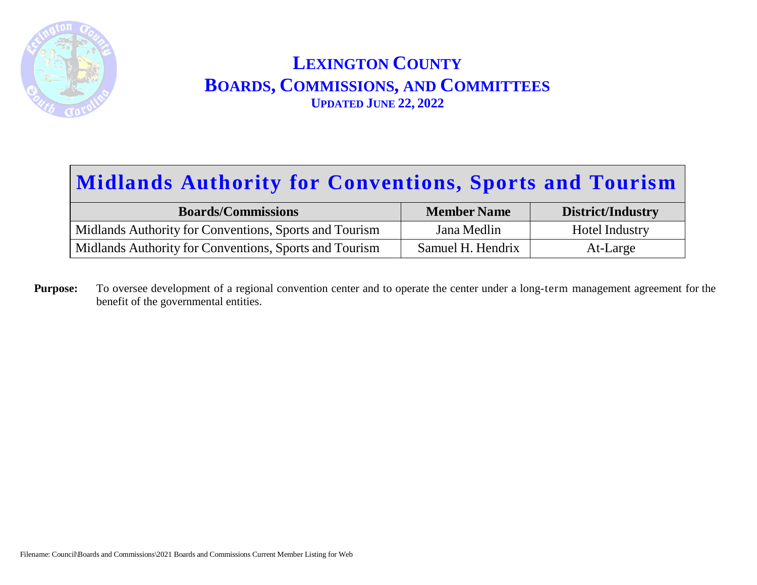

# **Midlands Authority for Conventions, Sports and Tourism**

| <b>Boards/Commissions</b>                              | <b>Member Name</b> | District/Industry |
|--------------------------------------------------------|--------------------|-------------------|
| Midlands Authority for Conventions, Sports and Tourism | Jana Medlin        | Hotel Industry    |
| Midlands Authority for Conventions, Sports and Tourism | Samuel H. Hendrix  | At-Large          |

**Purpose:** To oversee development of a regional convention center and to operate the center under a long-term management agreement for the benefit of the governmental entities.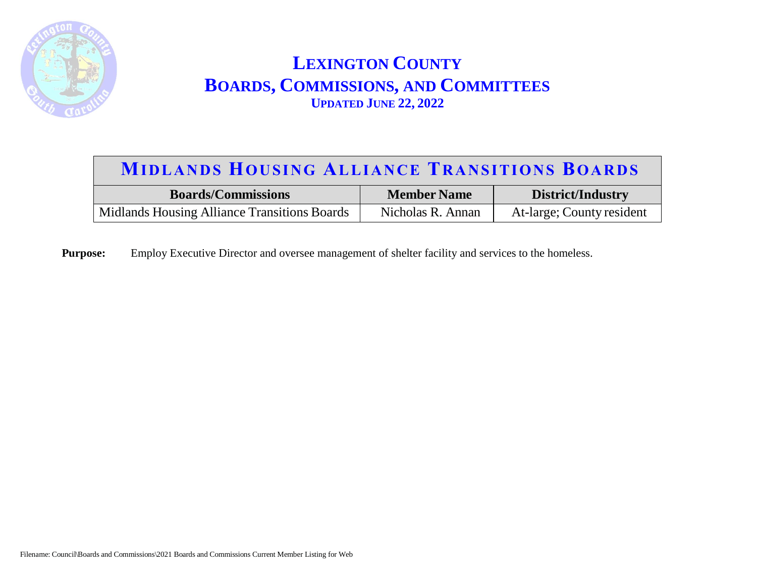

#### **MIDLANDS HOUSING ALLIANCE TRANSITIONS BOARDS**

| <b>Boards/Commissions</b>                    | <b>Member Name</b> | District/Industry         |
|----------------------------------------------|--------------------|---------------------------|
| Midlands Housing Alliance Transitions Boards | Nicholas R. Annan  | At-large; County resident |

**Purpose:** Employ Executive Director and oversee management of shelter facility and services to the homeless.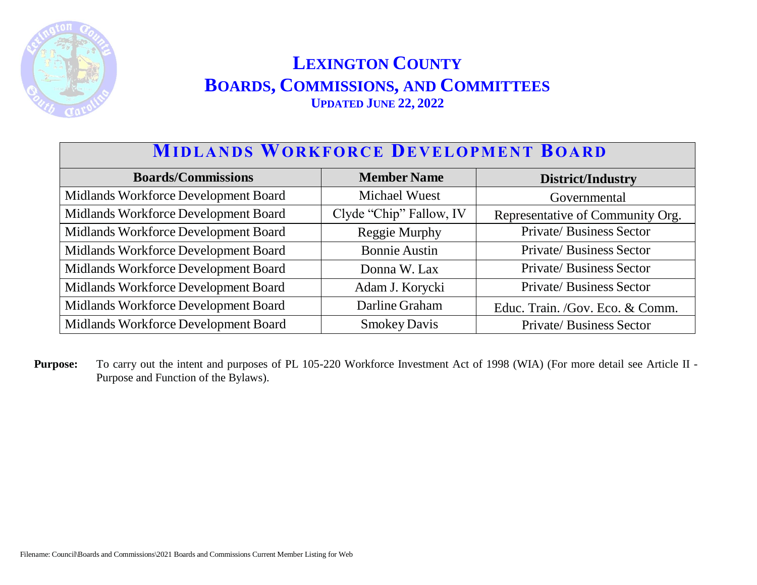

## **MID L A N D S WOR KF OR C E DE V EL OP M E N T BOA RD**

| <b>Boards/Commissions</b>            | <b>Member Name</b>      | District/Industry                |
|--------------------------------------|-------------------------|----------------------------------|
| Midlands Workforce Development Board | <b>Michael Wuest</b>    | Governmental                     |
| Midlands Workforce Development Board | Clyde "Chip" Fallow, IV | Representative of Community Org. |
| Midlands Workforce Development Board | Reggie Murphy           | Private/Business Sector          |
| Midlands Workforce Development Board | <b>Bonnie Austin</b>    | Private/Business Sector          |
| Midlands Workforce Development Board | Donna W. Lax            | Private/Business Sector          |
| Midlands Workforce Development Board | Adam J. Korycki         | <b>Private/Business Sector</b>   |
| Midlands Workforce Development Board | Darline Graham          | Educ. Train. /Gov. Eco. & Comm.  |
| Midlands Workforce Development Board | <b>Smokey Davis</b>     | <b>Private/Business Sector</b>   |

**Purpose:** To carry out the intent and purposes of PL 105-220 Workforce Investment Act of 1998 (WIA) (For more detail see Article II - Purpose and Function of the Bylaws).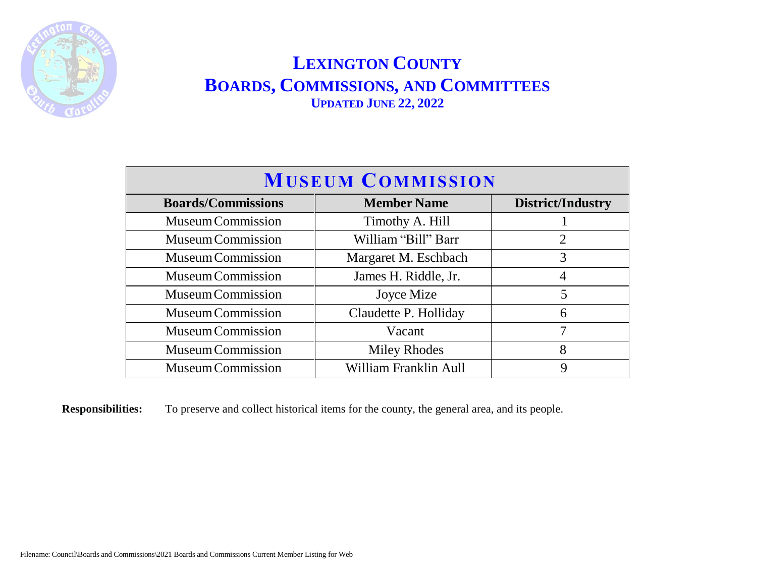

| <b>MUSEUM COMMISSION</b>  |                       |                   |
|---------------------------|-----------------------|-------------------|
| <b>Boards/Commissions</b> | <b>Member Name</b>    | District/Industry |
| <b>Museum Commission</b>  | Timothy A. Hill       |                   |
| <b>Museum Commission</b>  | William "Bill" Barr   | $\overline{2}$    |
| <b>Museum Commission</b>  | Margaret M. Eschbach  | 3                 |
| Museum Commission         | James H. Riddle, Jr.  | 4                 |
| <b>Museum Commission</b>  | Joyce Mize            | 5                 |
| Museum Commission         | Claudette P. Holliday | 6                 |
| Museum Commission         | Vacant                | 7                 |
| Museum Commission         | <b>Miley Rhodes</b>   | 8                 |
| <b>Museum Commission</b>  | William Franklin Aull | 9                 |

**Responsibilities:** To preserve and collect historical items for the county, the general area, and its people.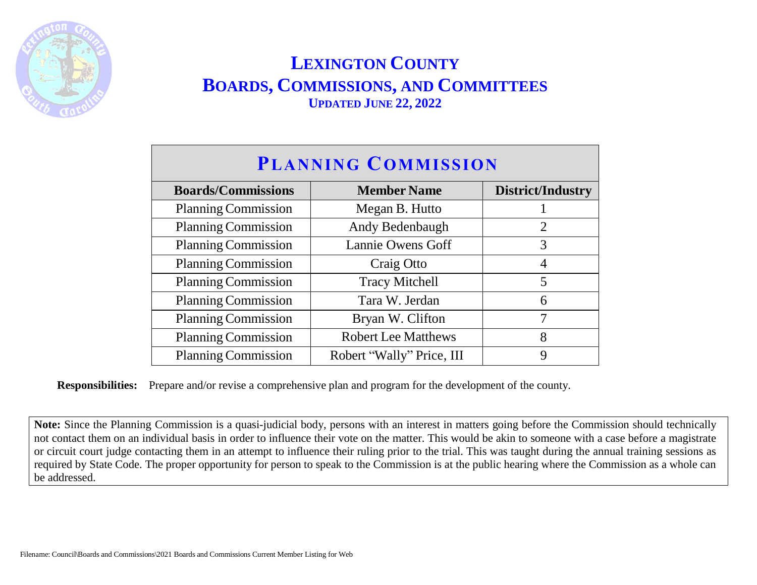

| <b>PLANNING COMMISSION</b> |                            |                   |  |
|----------------------------|----------------------------|-------------------|--|
| <b>Boards/Commissions</b>  | <b>Member Name</b>         | District/Industry |  |
| <b>Planning Commission</b> | Megan B. Hutto             |                   |  |
| <b>Planning Commission</b> | Andy Bedenbaugh            | $\overline{2}$    |  |
| <b>Planning Commission</b> | Lannie Owens Goff          | 3                 |  |
| <b>Planning Commission</b> | Craig Otto                 | 4                 |  |
| <b>Planning Commission</b> | <b>Tracy Mitchell</b>      | 5                 |  |
| <b>Planning Commission</b> | Tara W. Jerdan             | 6                 |  |
| <b>Planning Commission</b> | Bryan W. Clifton           | 7                 |  |
| <b>Planning Commission</b> | <b>Robert Lee Matthews</b> | 8                 |  |
| <b>Planning Commission</b> | Robert "Wally" Price, III  | 9                 |  |

**Responsibilities:** Prepare and/or revise a comprehensive plan and program for the development of the county.

**Note:** Since the Planning Commission is a quasi-judicial body, persons with an interest in matters going before the Commission should technically not contact them on an individual basis in order to influence their vote on the matter. This would be akin to someone with a case before a magistrate or circuit court judge contacting them in an attempt to influence their ruling prior to the trial. This was taught during the annual training sessions as required by State Code. The proper opportunity for person to speak to the Commission is at the public hearing where the Commission as a whole can be addressed.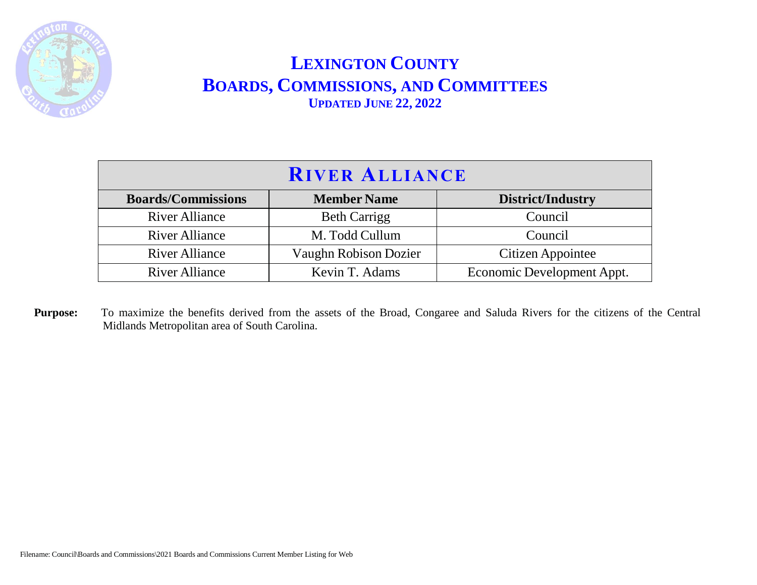

| <b>RIVER ALLIANCE</b>     |                              |                            |
|---------------------------|------------------------------|----------------------------|
| <b>Boards/Commissions</b> | <b>Member Name</b>           | District/Industry          |
| <b>River Alliance</b>     | <b>Beth Carrigg</b>          | Council                    |
| <b>River Alliance</b>     | M. Todd Cullum               | Council                    |
| <b>River Alliance</b>     | <b>Vaughn Robison Dozier</b> | Citizen Appointee          |
| <b>River Alliance</b>     | Kevin T. Adams               | Economic Development Appt. |

Purpose: To maximize the benefits derived from the assets of the Broad, Congaree and Saluda Rivers for the citizens of the Central Midlands Metropolitan area of South Carolina.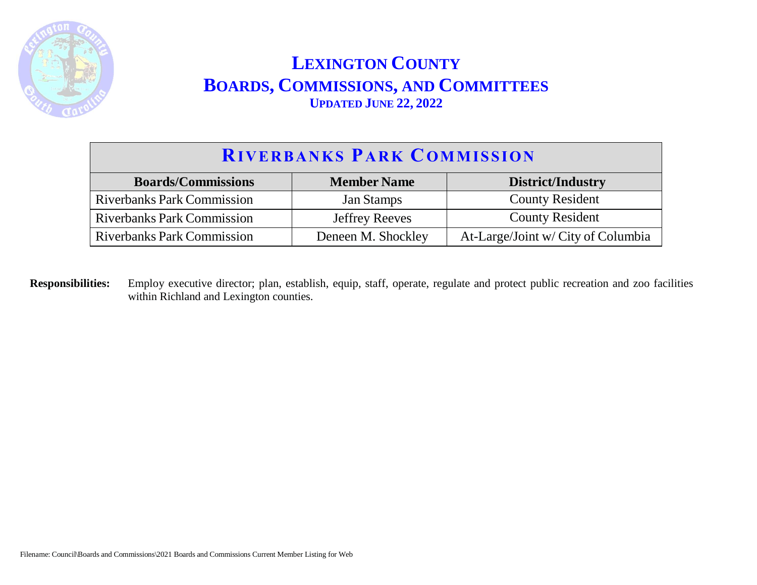

| <b>RIVERBANKS PARK COMMISSION</b> |                       |                                    |
|-----------------------------------|-----------------------|------------------------------------|
| <b>Boards/Commissions</b>         | <b>Member Name</b>    | <b>District/Industry</b>           |
| <b>Riverbanks Park Commission</b> | <b>Jan Stamps</b>     | <b>County Resident</b>             |
| <b>Riverbanks Park Commission</b> | <b>Jeffrey Reeves</b> | <b>County Resident</b>             |
| <b>Riverbanks Park Commission</b> | Deneen M. Shockley    | At-Large/Joint w/ City of Columbia |

**Responsibilities:** Employ executive director; plan, establish, equip, staff, operate, regulate and protect public recreation and zoo facilities within Richland and Lexington counties.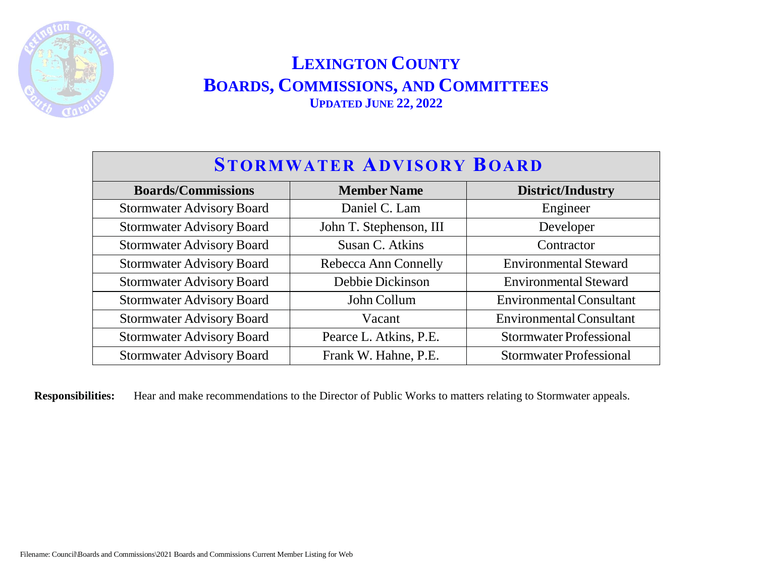

| <b>STORMWATER ADVISORY BOARD</b> |                         |                                 |
|----------------------------------|-------------------------|---------------------------------|
| <b>Boards/Commissions</b>        | <b>Member Name</b>      | <b>District/Industry</b>        |
| <b>Stormwater Advisory Board</b> | Daniel C. Lam           | Engineer                        |
| <b>Stormwater Advisory Board</b> | John T. Stephenson, III | Developer                       |
| <b>Stormwater Advisory Board</b> | Susan C. Atkins         | Contractor                      |
| <b>Stormwater Advisory Board</b> | Rebecca Ann Connelly    | <b>Environmental Steward</b>    |
| <b>Stormwater Advisory Board</b> | Debbie Dickinson        | <b>Environmental Steward</b>    |
| <b>Stormwater Advisory Board</b> | John Collum             | <b>Environmental Consultant</b> |
| <b>Stormwater Advisory Board</b> | Vacant                  | <b>Environmental Consultant</b> |
| <b>Stormwater Advisory Board</b> | Pearce L. Atkins, P.E.  | <b>Stormwater Professional</b>  |
| <b>Stormwater Advisory Board</b> | Frank W. Hahne, P.E.    | <b>Stormwater Professional</b>  |

**Responsibilities:** Hear and make recommendations to the Director of Public Works to matters relating to Stormwater appeals.